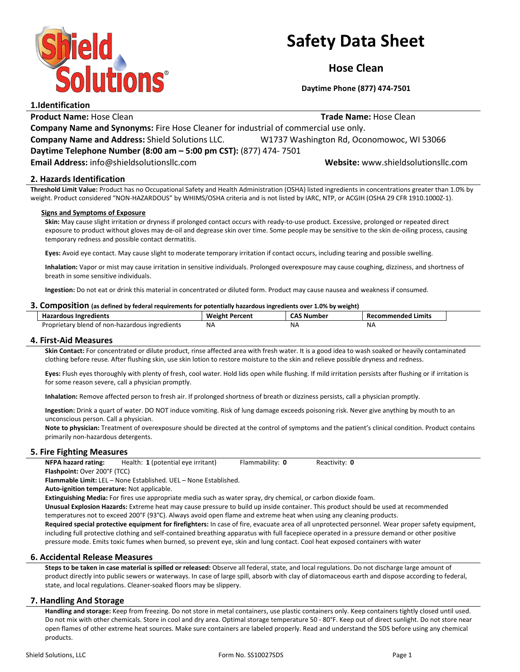

# Safety Data Sheet

Hose Clean

Daytime Phone (877) 474-7501

1.Identification Product Name: Hose Clean **Trade Name: Hose Clean** Trade Name: Hose Clean Company Name and Synonyms: Fire Hose Cleaner for industrial of commercial use only. Company Name and Address: Shield Solutions LLC. W1737 Washington Rd, Oconomowoc, WI 53066 Daytime Telephone Number (8:00 am – 5:00 pm CST): (877) 474- 7501 Email Address: info@shieldsolutionsllc.com Website: www.shieldsolutionsllc.com

# 2. Hazards Identification

Threshold Limit Value: Product has no Occupational Safety and Health Administration (OSHA) listed ingredients in concentrations greater than 1.0% by weight. Product considered "NON-HAZARDOUS" by WHIMS/OSHA criteria and is not listed by IARC, NTP, or ACGIH (OSHA 29 CFR 1910.1000Z-1).

## Signs and Symptoms of Exposure

Skin: May cause slight irritation or dryness if prolonged contact occurs with ready-to-use product. Excessive, prolonged or repeated direct exposure to product without gloves may de-oil and degrease skin over time. Some people may be sensitive to the skin de-oiling process, causing temporary redness and possible contact dermatitis.

Eyes: Avoid eye contact. May cause slight to moderate temporary irritation if contact occurs, including tearing and possible swelling.

Inhalation: Vapor or mist may cause irritation in sensitive individuals. Prolonged overexposure may cause coughing, dizziness, and shortness of breath in some sensitive individuals.

Ingestion: Do not eat or drink this material in concentrated or diluted form. Product may cause nausea and weakness if consumed.

### 3. Composition (as defined by federal requirements for potentially hazardous ingredients over 1.0% by weight)

| <b>Hazardous Ingredients</b>                   | <b>Weight Percent</b> | <b>ົ^S Number</b> | Recommended Limits |
|------------------------------------------------|-----------------------|-------------------|--------------------|
| Proprietary blend of non-hazardous ingredients | NA.                   | ΝA                | NA                 |

## 4. First-Aid Measures

Skin Contact: For concentrated or dilute product, rinse affected area with fresh water. It is a good idea to wash soaked or heavily contaminated clothing before reuse. After flushing skin, use skin lotion to restore moisture to the skin and relieve possible dryness and redness.

Eyes: Flush eyes thoroughly with plenty of fresh, cool water. Hold lids open while flushing. If mild irritation persists after flushing or if irritation is for some reason severe, call a physician promptly.

Inhalation: Remove affected person to fresh air. If prolonged shortness of breath or dizziness persists, call a physician promptly.

Ingestion: Drink a quart of water. DO NOT induce vomiting. Risk of lung damage exceeds poisoning risk. Never give anything by mouth to an unconscious person. Call a physician.

Note to physician: Treatment of overexposure should be directed at the control of symptoms and the patient's clinical condition. Product contains primarily non-hazardous detergents.

## 5. Fire Fighting Measures

NFPA hazard rating: Health: 1 (potential eye irritant) Flammability: 0 Reactivity: 0 Flashpoint: Over 200°F (TCC)

Flammable Limit: LEL – None Established. UEL – None Established.

Auto-ignition temperature: Not applicable.

Extinguishing Media: For fires use appropriate media such as water spray, dry chemical, or carbon dioxide foam.

Unusual Explosion Hazards: Extreme heat may cause pressure to build up inside container. This product should be used at recommended temperatures not to exceed 200°F (93°C). Always avoid open flame and extreme heat when using any cleaning products.

Required special protective equipment for firefighters: In case of fire, evacuate area of all unprotected personnel. Wear proper safety equipment, including full protective clothing and self-contained breathing apparatus with full facepiece operated in a pressure demand or other positive pressure mode. Emits toxic fumes when burned, so prevent eye, skin and lung contact. Cool heat exposed containers with water

## 6. Accidental Release Measures

Steps to be taken in case material is spilled or released: Observe all federal, state, and local regulations. Do not discharge large amount of product directly into public sewers or waterways. In case of large spill, absorb with clay of diatomaceous earth and dispose according to federal, state, and local regulations. Cleaner-soaked floors may be slippery.

## 7. Handling And Storage

Handling and storage: Keep from freezing. Do not store in metal containers, use plastic containers only. Keep containers tightly closed until used. Do not mix with other chemicals. Store in cool and dry area. Optimal storage temperature 50 - 80°F. Keep out of direct sunlight. Do not store near open flames of other extreme heat sources. Make sure containers are labeled properly. Read and understand the SDS before using any chemical products.